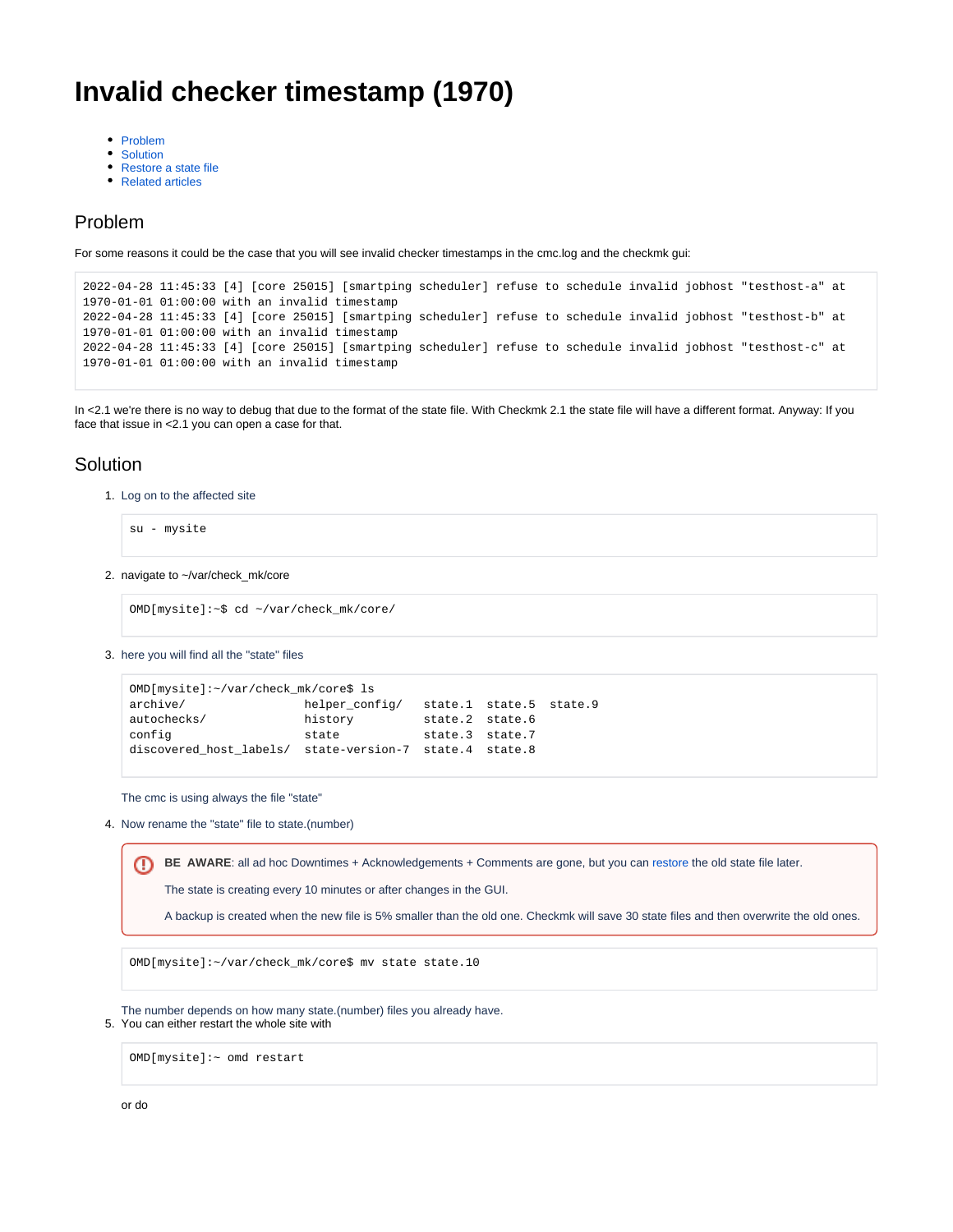# <span id="page-0-2"></span>**Invalid checker timestamp (1970)**

- [Problem](#page-0-0)
- **[Solution](#page-0-1)**
- [Restore a state file](#page-1-0)
- [Related articles](#page-1-1)

#### <span id="page-0-0"></span>Problem

For some reasons it could be the case that you will see invalid checker timestamps in the cmc.log and the checkmk gui:

```
2022-04-28 11:45:33 [4] [core 25015] [smartping scheduler] refuse to schedule invalid jobhost "testhost-a" at 
1970-01-01 01:00:00 with an invalid timestamp
2022-04-28 11:45:33 [4] [core 25015] [smartping scheduler] refuse to schedule invalid jobhost "testhost-b" at 
1970-01-01 01:00:00 with an invalid timestamp
2022-04-28 11:45:33 [4] [core 25015] [smartping scheduler] refuse to schedule invalid jobhost "testhost-c" at 
1970-01-01 01:00:00 with an invalid timestamp
```
In <2.1 we're there is no way to debug that due to the format of the state file. With Checkmk 2.1 the state file will have a different format. Anyway: If you face that issue in <2.1 you can open a case for that.

#### <span id="page-0-1"></span>Solution

1. Log on to the affected site

```
su - mysite
```
2. navigate to ~/var/check\_mk/core

```
OMD[mysite]:~$ cd ~/var/check_mk/core/
```
3. here you will find all the "state" files

```
OMD[mysite]:~/var/check_mk/core$ ls
archive/ helper_config/ state.1 state.5 state.9
autochecks/ history state.2 state.6
config state state state.3 state.7
discovered_host_labels/ state-version-7 state.4 state.8
```
The cmc is using always the file "state"

4. Now rename the "state" file to state.(number)

**BE AWARE**: all ad hoc Downtimes + Acknowledgements + Comments are gone, but you can [restore](https://kb.checkmk.com/pages/viewpage.action?pageId=25461096#Invalidcheckertimestamp(1970)-Restoreastatefile) the old state file later. ⊕

The state is creating every 10 minutes or after changes in the GUI.

A backup is created when the new file is 5% smaller than the old one. Checkmk will save 30 state files and then overwrite the old ones.

OMD[mysite]:~/var/check\_mk/core\$ mv state state.10

5. You can either restart the whole site with The number depends on how many state.(number) files you already have.

OMD[mysite]:~ omd restart

or do